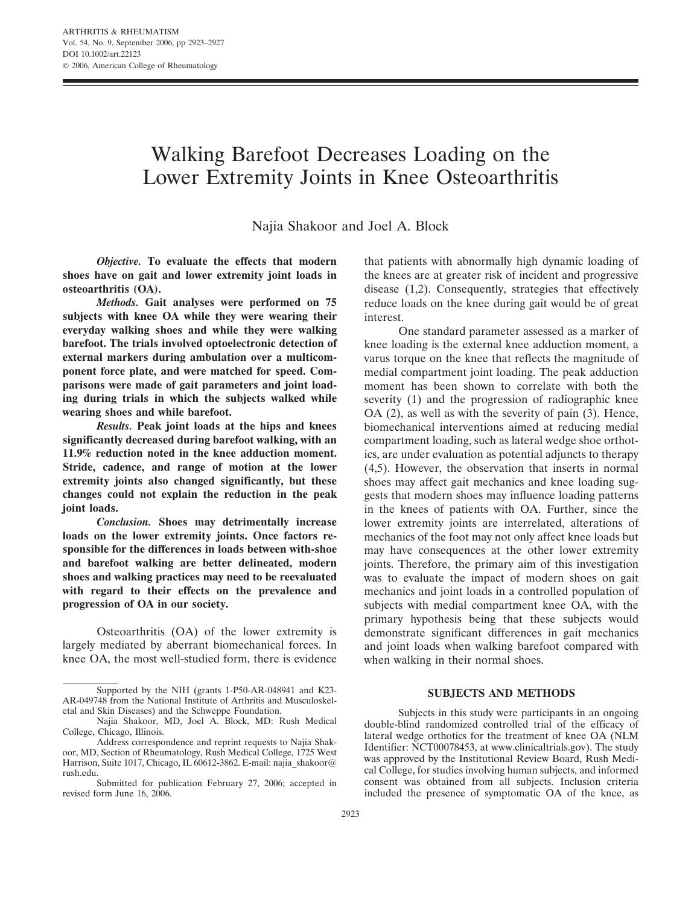# Walking Barefoot Decreases Loading on the Lower Extremity Joints in Knee Osteoarthritis

Najia Shakoor and Joel A. Block

*Objective.* **To evaluate the effects that modern shoes have on gait and lower extremity joint loads in osteoarthritis (OA).**

*Methods.* **Gait analyses were performed on 75 subjects with knee OA while they were wearing their everyday walking shoes and while they were walking barefoot. The trials involved optoelectronic detection of external markers during ambulation over a multicomponent force plate, and were matched for speed. Comparisons were made of gait parameters and joint loading during trials in which the subjects walked while wearing shoes and while barefoot.**

*Results.* **Peak joint loads at the hips and knees significantly decreased during barefoot walking, with an 11.9% reduction noted in the knee adduction moment. Stride, cadence, and range of motion at the lower extremity joints also changed significantly, but these changes could not explain the reduction in the peak joint loads.**

*Conclusion.* **Shoes may detrimentally increase loads on the lower extremity joints. Once factors responsible for the differences in loads between with-shoe and barefoot walking are better delineated, modern shoes and walking practices may need to be reevaluated with regard to their effects on the prevalence and progression of OA in our society.**

Osteoarthritis (OA) of the lower extremity is largely mediated by aberrant biomechanical forces. In knee OA, the most well-studied form, there is evidence that patients with abnormally high dynamic loading of the knees are at greater risk of incident and progressive disease (1,2). Consequently, strategies that effectively reduce loads on the knee during gait would be of great interest.

One standard parameter assessed as a marker of knee loading is the external knee adduction moment, a varus torque on the knee that reflects the magnitude of medial compartment joint loading. The peak adduction moment has been shown to correlate with both the severity (1) and the progression of radiographic knee OA (2), as well as with the severity of pain (3). Hence, biomechanical interventions aimed at reducing medial compartment loading, such as lateral wedge shoe orthotics, are under evaluation as potential adjuncts to therapy (4,5). However, the observation that inserts in normal shoes may affect gait mechanics and knee loading suggests that modern shoes may influence loading patterns in the knees of patients with OA. Further, since the lower extremity joints are interrelated, alterations of mechanics of the foot may not only affect knee loads but may have consequences at the other lower extremity joints. Therefore, the primary aim of this investigation was to evaluate the impact of modern shoes on gait mechanics and joint loads in a controlled population of subjects with medial compartment knee OA, with the primary hypothesis being that these subjects would demonstrate significant differences in gait mechanics and joint loads when walking barefoot compared with when walking in their normal shoes.

#### **SUBJECTS AND METHODS**

Subjects in this study were participants in an ongoing double-blind randomized controlled trial of the efficacy of lateral wedge orthotics for the treatment of knee OA (NLM Identifier: NCT00078453, at www.clinicaltrials.gov). The study was approved by the Institutional Review Board, Rush Medical College, for studies involving human subjects, and informed consent was obtained from all subjects. Inclusion criteria included the presence of symptomatic OA of the knee, as

Supported by the NIH (grants 1-P50-AR-048941 and K23- AR-049748 from the National Institute of Arthritis and Musculoskeletal and Skin Diseases) and the Schweppe Foundation.

Najia Shakoor, MD, Joel A. Block, MD: Rush Medical College, Chicago, Illinois.

Address correspondence and reprint requests to Najia Shakoor, MD, Section of Rheumatology, Rush Medical College, 1725 West Harrison, Suite 1017, Chicago, IL 60612-3862. E-mail: najia\_shakoor@ rush.edu.

Submitted for publication February 27, 2006; accepted in revised form June 16, 2006.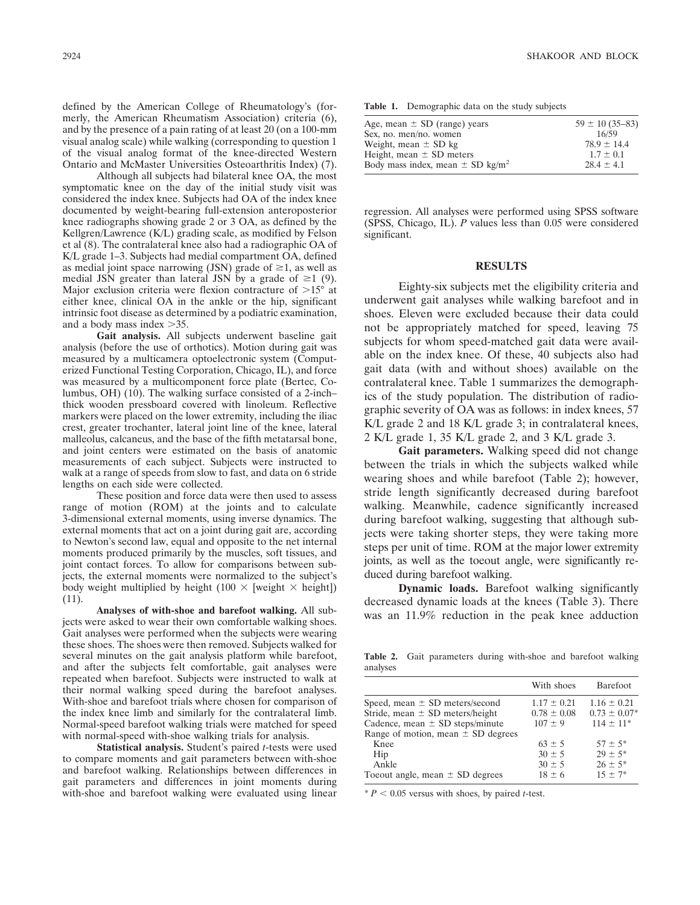defined by the American College of Rheumatology's (formerly, the American Rheumatism Association) criteria (6), and by the presence of a pain rating of at least 20 (on a 100-mm visual analog scale) while walking (corresponding to question 1 of the visual analog format of the knee-directed Western Ontario and McMaster Universities Osteoarthritis Index) (7).

Although all subjects had bilateral knee OA, the most symptomatic knee on the day of the initial study visit was considered the index knee. Subjects had OA of the index knee documented by weight-bearing full-extension anteroposterior knee radiographs showing grade 2 or 3 OA, as defined by the Kellgren/Lawrence (K/L) grading scale, as modified by Felson et al (8). The contralateral knee also had a radiographic OA of K/L grade 1–3. Subjects had medial compartment OA, defined as medial joint space narrowing (JSN) grade of  $\geq 1$ , as well as medial JSN greater than lateral JSN by a grade of  $\geq 1$  (9). Major exclusion criteria were flexion contracture of  $>15^{\circ}$  at either knee, clinical OA in the ankle or the hip, significant intrinsic foot disease as determined by a podiatric examination, and a body mass index  $>35$ .

**Gait analysis.** All subjects underwent baseline gait analysis (before the use of orthotics). Motion during gait was measured by a multicamera optoelectronic system (Computerized Functional Testing Corporation, Chicago, IL), and force was measured by a multicomponent force plate (Bertec, Columbus, OH) (10). The walking surface consisted of a 2-inch– thick wooden pressboard covered with linoleum. Reflective markers were placed on the lower extremity, including the iliac crest, greater trochanter, lateral joint line of the knee, lateral malleolus, calcaneus, and the base of the fifth metatarsal bone, and joint centers were estimated on the basis of anatomic measurements of each subject. Subjects were instructed to walk at a range of speeds from slow to fast, and data on 6 stride lengths on each side were collected.

These position and force data were then used to assess range of motion (ROM) at the joints and to calculate 3-dimensional external moments, using inverse dynamics. The external moments that act on a joint during gait are, according to Newton's second law, equal and opposite to the net internal moments produced primarily by the muscles, soft tissues, and joint contact forces. To allow for comparisons between subjects, the external moments were normalized to the subject's body weight multiplied by height  $(100 \times \text{[weight]}$ (11).

**Analyses of with-shoe and barefoot walking.** All subjects were asked to wear their own comfortable walking shoes. Gait analyses were performed when the subjects were wearing these shoes. The shoes were then removed. Subjects walked for several minutes on the gait analysis platform while barefoot, and after the subjects felt comfortable, gait analyses were repeated when barefoot. Subjects were instructed to walk at their normal walking speed during the barefoot analyses. With-shoe and barefoot trials where chosen for comparison of the index knee limb and similarly for the contralateral limb. Normal-speed barefoot walking trials were matched for speed with normal-speed with-shoe walking trials for analysis.

**Statistical analysis.** Student's paired *t*-tests were used to compare moments and gait parameters between with-shoe and barefoot walking. Relationships between differences in gait parameters and differences in joint moments during with-shoe and barefoot walking were evaluated using linear

**Table 1.** Demographic data on the study subjects

| Age, mean $\pm$ SD (range) years                 | $59 \pm 10 (35 - 83)$ |
|--------------------------------------------------|-----------------------|
| Sex, no. men/no. women                           | 16/59                 |
| Weight, mean $\pm$ SD kg                         | $78.9 \pm 14.4$       |
| Height, mean $\pm$ SD meters                     | $1.7 \pm 0.1$         |
| Body mass index, mean $\pm$ SD kg/m <sup>2</sup> | $28.4 \pm 4.1$        |
|                                                  |                       |

regression. All analyses were performed using SPSS software (SPSS, Chicago, IL). *P* values less than 0.05 were considered significant.

## **RESULTS**

Eighty-six subjects met the eligibility criteria and underwent gait analyses while walking barefoot and in shoes. Eleven were excluded because their data could not be appropriately matched for speed, leaving 75 subjects for whom speed-matched gait data were available on the index knee. Of these, 40 subjects also had gait data (with and without shoes) available on the contralateral knee. Table 1 summarizes the demographics of the study population. The distribution of radiographic severity of OA was as follows: in index knees, 57 K/L grade 2 and 18 K/L grade 3; in contralateral knees, 2 K/L grade 1, 35 K/L grade 2, and 3 K/L grade 3.

**Gait parameters.** Walking speed did not change between the trials in which the subjects walked while wearing shoes and while barefoot (Table 2); however, stride length significantly decreased during barefoot walking. Meanwhile, cadence significantly increased during barefoot walking, suggesting that although subjects were taking shorter steps, they were taking more steps per unit of time. ROM at the major lower extremity joints, as well as the toeout angle, were significantly reduced during barefoot walking.

**Dynamic loads.** Barefoot walking significantly decreased dynamic loads at the knees (Table 3). There was an 11.9% reduction in the peak knee adduction

**Table 2.** Gait parameters during with-shoe and barefoot walking analyses

|                                        | With shoes      | Barefoot                  |
|----------------------------------------|-----------------|---------------------------|
| Speed, mean $\pm$ SD meters/second     | $1.17 \pm 0.21$ | $1.16 \pm 0.21$           |
| Stride, mean $\pm$ SD meters/height    | $0.78 \pm 0.08$ | $0.73 \pm 0.07^*$         |
| Cadence, mean $\pm$ SD steps/minute    | $107 \pm 9$     | $114 \pm 11$ <sup>*</sup> |
| Range of motion, mean $\pm$ SD degrees |                 |                           |
| Knee                                   | $63 \pm 5$      | $57 \pm 5^*$              |
| Hip                                    | $30 \pm 5$      | $29 + 5*$                 |
| Ankle                                  | $30 \pm 5$      | $26 \pm 5^*$              |
| Toeout angle, mean $\pm$ SD degrees    | $18 \pm 6$      | $15 \pm 7^*$              |
|                                        |                 |                           |

 $* P < 0.05$  versus with shoes, by paired *t*-test.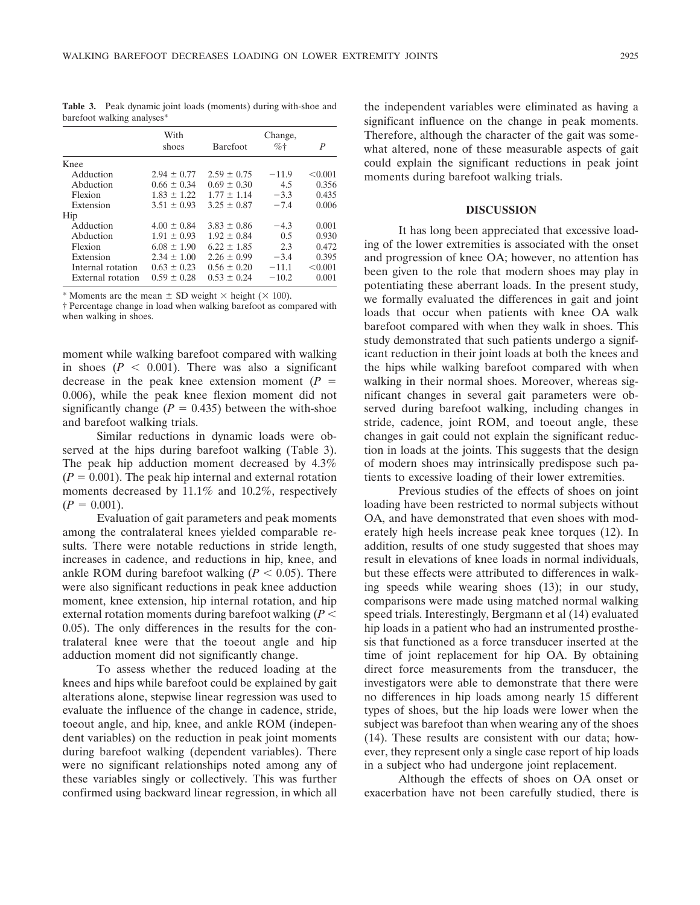**Table 3.** Peak dynamic joint loads (moments) during with-shoe and barefoot walking analyses\*

|                   | With            |                 | Change, |         |
|-------------------|-----------------|-----------------|---------|---------|
|                   | shoes           | <b>Barefoot</b> | %†      | P       |
| Knee              |                 |                 |         |         |
| Adduction         | $2.94 \pm 0.77$ | $2.59 \pm 0.75$ | $-11.9$ | < 0.001 |
| Abduction         | $0.66 \pm 0.34$ | $0.69 \pm 0.30$ | 4.5     | 0.356   |
| Flexion           | $1.83 + 1.22$   | $1.77 \pm 1.14$ | $-3.3$  | 0.435   |
| Extension         | $3.51 \pm 0.93$ | $3.25 \pm 0.87$ | $-7.4$  | 0.006   |
| Hip               |                 |                 |         |         |
| Adduction         | $4.00 \pm 0.84$ | $3.83 \pm 0.86$ | $-4.3$  | 0.001   |
| Abduction         | $1.91 \pm 0.93$ | $1.92 \pm 0.84$ | 0.5     | 0.930   |
| Flexion           | $6.08 \pm 1.90$ | $6.22 \pm 1.85$ | 2.3     | 0.472   |
| Extension         | $2.34 \pm 1.00$ | $2.26 \pm 0.99$ | $-3.4$  | 0.395   |
| Internal rotation | $0.63 \pm 0.23$ | $0.56 \pm 0.20$ | $-11.1$ | < 0.001 |
| External rotation | $0.59 \pm 0.28$ | $0.53 \pm 0.24$ | $-10.2$ | 0.001   |

\* Moments are the mean  $\pm$  SD weight  $\times$  height ( $\times$  100).

† Percentage change in load when walking barefoot as compared with when walking in shoes.

moment while walking barefoot compared with walking in shoes  $(P < 0.001)$ . There was also a significant decrease in the peak knee extension moment  $(P =$ 0.006), while the peak knee flexion moment did not significantly change  $(P = 0.435)$  between the with-shoe and barefoot walking trials.

Similar reductions in dynamic loads were observed at the hips during barefoot walking (Table 3). The peak hip adduction moment decreased by 4.3%  $(P = 0.001)$ . The peak hip internal and external rotation moments decreased by 11.1% and 10.2%, respectively  $(P = 0.001)$ .

Evaluation of gait parameters and peak moments among the contralateral knees yielded comparable results. There were notable reductions in stride length, increases in cadence, and reductions in hip, knee, and ankle ROM during barefoot walking  $(P < 0.05)$ . There were also significant reductions in peak knee adduction moment, knee extension, hip internal rotation, and hip external rotation moments during barefoot walking (*P* 0.05). The only differences in the results for the contralateral knee were that the toeout angle and hip adduction moment did not significantly change.

To assess whether the reduced loading at the knees and hips while barefoot could be explained by gait alterations alone, stepwise linear regression was used to evaluate the influence of the change in cadence, stride, toeout angle, and hip, knee, and ankle ROM (independent variables) on the reduction in peak joint moments during barefoot walking (dependent variables). There were no significant relationships noted among any of these variables singly or collectively. This was further confirmed using backward linear regression, in which all the independent variables were eliminated as having a significant influence on the change in peak moments. Therefore, although the character of the gait was somewhat altered, none of these measurable aspects of gait could explain the significant reductions in peak joint moments during barefoot walking trials.

#### **DISCUSSION**

It has long been appreciated that excessive loading of the lower extremities is associated with the onset and progression of knee OA; however, no attention has been given to the role that modern shoes may play in potentiating these aberrant loads. In the present study, we formally evaluated the differences in gait and joint loads that occur when patients with knee OA walk barefoot compared with when they walk in shoes. This study demonstrated that such patients undergo a significant reduction in their joint loads at both the knees and the hips while walking barefoot compared with when walking in their normal shoes. Moreover, whereas significant changes in several gait parameters were observed during barefoot walking, including changes in stride, cadence, joint ROM, and toeout angle, these changes in gait could not explain the significant reduction in loads at the joints. This suggests that the design of modern shoes may intrinsically predispose such patients to excessive loading of their lower extremities.

Previous studies of the effects of shoes on joint loading have been restricted to normal subjects without OA, and have demonstrated that even shoes with moderately high heels increase peak knee torques (12). In addition, results of one study suggested that shoes may result in elevations of knee loads in normal individuals, but these effects were attributed to differences in walking speeds while wearing shoes (13); in our study, comparisons were made using matched normal walking speed trials. Interestingly, Bergmann et al (14) evaluated hip loads in a patient who had an instrumented prosthesis that functioned as a force transducer inserted at the time of joint replacement for hip OA. By obtaining direct force measurements from the transducer, the investigators were able to demonstrate that there were no differences in hip loads among nearly 15 different types of shoes, but the hip loads were lower when the subject was barefoot than when wearing any of the shoes (14). These results are consistent with our data; however, they represent only a single case report of hip loads in a subject who had undergone joint replacement.

Although the effects of shoes on OA onset or exacerbation have not been carefully studied, there is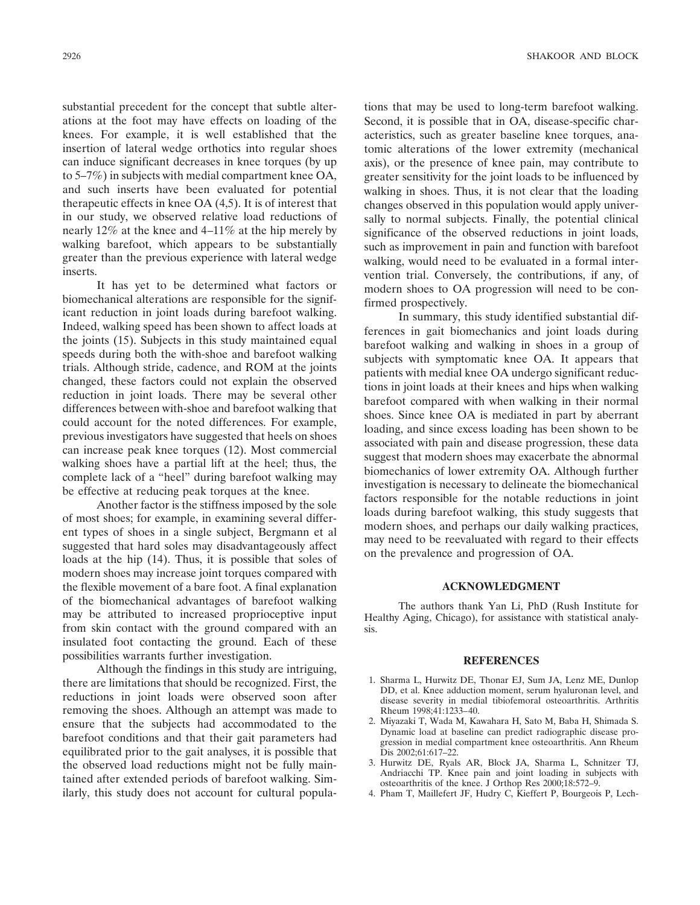substantial precedent for the concept that subtle alterations at the foot may have effects on loading of the knees. For example, it is well established that the insertion of lateral wedge orthotics into regular shoes can induce significant decreases in knee torques (by up to 5–7%) in subjects with medial compartment knee OA, and such inserts have been evaluated for potential therapeutic effects in knee OA (4,5). It is of interest that in our study, we observed relative load reductions of nearly 12% at the knee and 4–11% at the hip merely by walking barefoot, which appears to be substantially greater than the previous experience with lateral wedge inserts.

It has yet to be determined what factors or biomechanical alterations are responsible for the significant reduction in joint loads during barefoot walking. Indeed, walking speed has been shown to affect loads at the joints (15). Subjects in this study maintained equal speeds during both the with-shoe and barefoot walking trials. Although stride, cadence, and ROM at the joints changed, these factors could not explain the observed reduction in joint loads. There may be several other differences between with-shoe and barefoot walking that could account for the noted differences. For example, previous investigators have suggested that heels on shoes can increase peak knee torques (12). Most commercial walking shoes have a partial lift at the heel; thus, the complete lack of a "heel" during barefoot walking may be effective at reducing peak torques at the knee.

Another factor is the stiffness imposed by the sole of most shoes; for example, in examining several different types of shoes in a single subject, Bergmann et al suggested that hard soles may disadvantageously affect loads at the hip (14). Thus, it is possible that soles of modern shoes may increase joint torques compared with the flexible movement of a bare foot. A final explanation of the biomechanical advantages of barefoot walking may be attributed to increased proprioceptive input from skin contact with the ground compared with an insulated foot contacting the ground. Each of these possibilities warrants further investigation.

Although the findings in this study are intriguing, there are limitations that should be recognized. First, the reductions in joint loads were observed soon after removing the shoes. Although an attempt was made to ensure that the subjects had accommodated to the barefoot conditions and that their gait parameters had equilibrated prior to the gait analyses, it is possible that the observed load reductions might not be fully maintained after extended periods of barefoot walking. Similarly, this study does not account for cultural populations that may be used to long-term barefoot walking. Second, it is possible that in OA, disease-specific characteristics, such as greater baseline knee torques, anatomic alterations of the lower extremity (mechanical axis), or the presence of knee pain, may contribute to greater sensitivity for the joint loads to be influenced by walking in shoes. Thus, it is not clear that the loading changes observed in this population would apply universally to normal subjects. Finally, the potential clinical significance of the observed reductions in joint loads, such as improvement in pain and function with barefoot walking, would need to be evaluated in a formal intervention trial. Conversely, the contributions, if any, of modern shoes to OA progression will need to be confirmed prospectively.

In summary, this study identified substantial differences in gait biomechanics and joint loads during barefoot walking and walking in shoes in a group of subjects with symptomatic knee OA. It appears that patients with medial knee OA undergo significant reductions in joint loads at their knees and hips when walking barefoot compared with when walking in their normal shoes. Since knee OA is mediated in part by aberrant loading, and since excess loading has been shown to be associated with pain and disease progression, these data suggest that modern shoes may exacerbate the abnormal biomechanics of lower extremity OA. Although further investigation is necessary to delineate the biomechanical factors responsible for the notable reductions in joint loads during barefoot walking, this study suggests that modern shoes, and perhaps our daily walking practices, may need to be reevaluated with regard to their effects on the prevalence and progression of OA.

### **ACKNOWLEDGMENT**

The authors thank Yan Li, PhD (Rush Institute for Healthy Aging, Chicago), for assistance with statistical analysis.

## **REFERENCES**

- 1. Sharma L, Hurwitz DE, Thonar EJ, Sum JA, Lenz ME, Dunlop DD, et al. Knee adduction moment, serum hyaluronan level, and disease severity in medial tibiofemoral osteoarthritis. Arthritis Rheum 1998;41:1233–40.
- 2. Miyazaki T, Wada M, Kawahara H, Sato M, Baba H, Shimada S. Dynamic load at baseline can predict radiographic disease progression in medial compartment knee osteoarthritis. Ann Rheum Dis 2002;61:617–22.
- 3. Hurwitz DE, Ryals AR, Block JA, Sharma L, Schnitzer TJ, Andriacchi TP. Knee pain and joint loading in subjects with osteoarthritis of the knee. J Orthop Res 2000;18:572–9.
- 4. Pham T, Maillefert JF, Hudry C, Kieffert P, Bourgeois P, Lech-